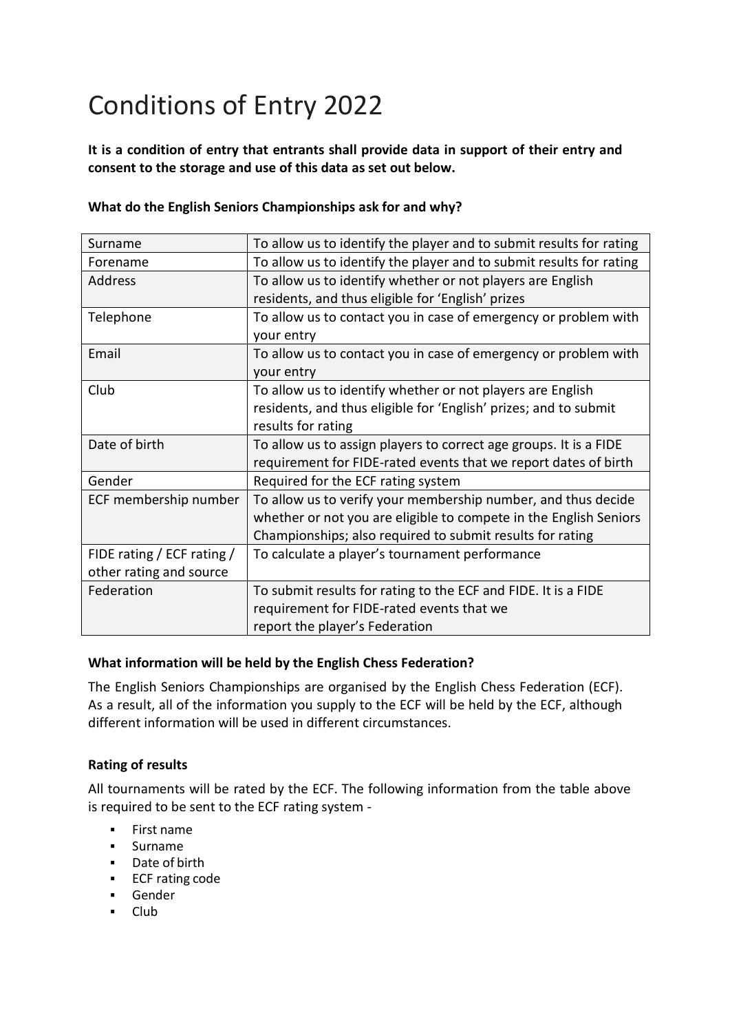# Conditions of Entry 2022

**It is a condition of entry that entrants shall provide data in support of their entry and consent to the storage and use of this data as set out below.**

#### **What do the English Seniors Championships ask for and why?**

| Surname                    | To allow us to identify the player and to submit results for rating |
|----------------------------|---------------------------------------------------------------------|
| Forename                   | To allow us to identify the player and to submit results for rating |
| <b>Address</b>             | To allow us to identify whether or not players are English          |
|                            | residents, and thus eligible for 'English' prizes                   |
| Telephone                  | To allow us to contact you in case of emergency or problem with     |
|                            | your entry                                                          |
| Email                      | To allow us to contact you in case of emergency or problem with     |
|                            | your entry                                                          |
| Club                       | To allow us to identify whether or not players are English          |
|                            | residents, and thus eligible for 'English' prizes; and to submit    |
|                            | results for rating                                                  |
|                            |                                                                     |
| Date of birth              | To allow us to assign players to correct age groups. It is a FIDE   |
|                            | requirement for FIDE-rated events that we report dates of birth     |
| Gender                     | Required for the ECF rating system                                  |
| ECF membership number      | To allow us to verify your membership number, and thus decide       |
|                            | whether or not you are eligible to compete in the English Seniors   |
|                            | Championships; also required to submit results for rating           |
| FIDE rating / ECF rating / | To calculate a player's tournament performance                      |
| other rating and source    |                                                                     |
| Federation                 | To submit results for rating to the ECF and FIDE. It is a FIDE      |
|                            | requirement for FIDE-rated events that we                           |

#### **What information will be held by the English Chess Federation?**

The English Seniors Championships are organised by the English Chess Federation (ECF). As a result, all of the information you supply to the ECF will be held by the ECF, although different information will be used in different circumstances.

#### **Rating of results**

All tournaments will be rated by the ECF. The following information from the table above is required to be sent to the ECF rating system -

- First name
- Surname
- Date of birth
- ECF rating code
- Gender
- Club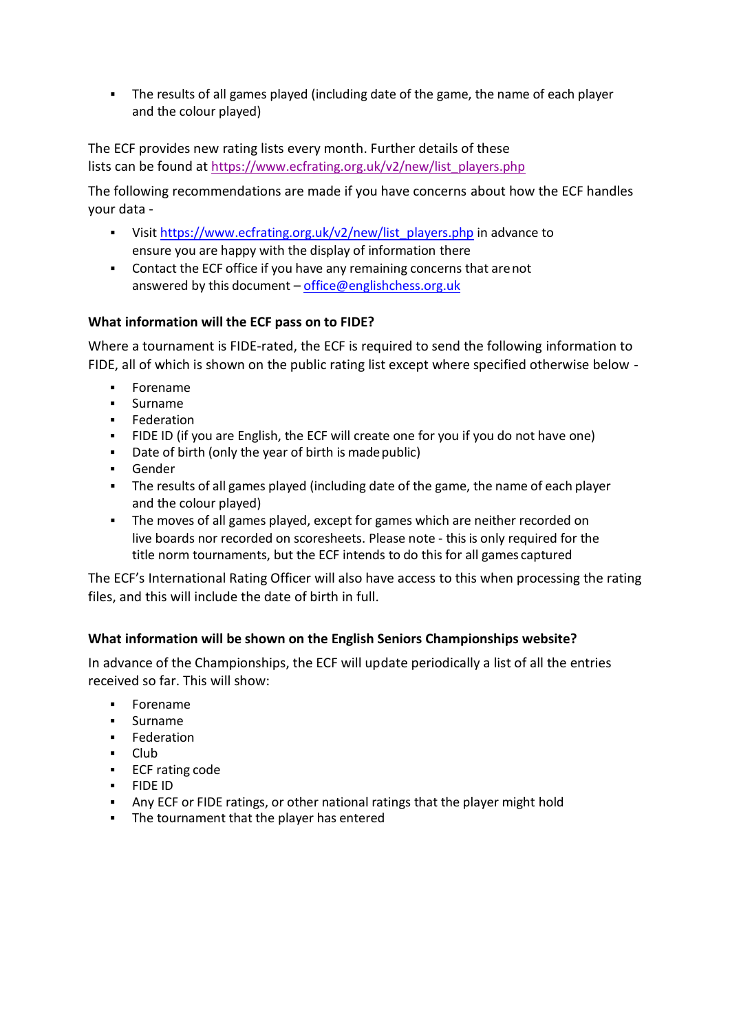■ The results of all games played (including date of the game, the name of each player and the colour played)

The ECF provides new rating lists every month. Further details of these lists can be found at [https://www.ecfrating.org.uk/v2/new/list\\_players.php](https://www.ecfrating.org.uk/v2/new/list_players.php)

The following recommendations are made if you have concerns about how the ECF handles your data -

- Visit [https://www.ecfrating.org.uk/v2/new/list\\_players.php](https://www.ecfrating.org.uk/v2/new/list_players.php) in advance to ensure you are happy with the display of information there
- Contact the ECF office if you have any remaining concerns that are not answered by this document – [office@englishchess.org.uk](mailto:office@englishchess.org.uk)

### **What information will the ECF pass on to FIDE?**

Where a tournament is FIDE-rated, the ECF is required to send the following information to FIDE, all of which is shown on the public rating list except where specified otherwise below -

- Forename
- Surname
- **Federation**
- **•** FIDE ID (if you are English, the ECF will create one for you if you do not have one)
- Date of birth (only the year of birth is madepublic)
- **Gender**
- **•** The results of all games played (including date of the game, the name of each player and the colour played)
- The moves of all games played, except for games which are neither recorded on live boards nor recorded on scoresheets. Please note - this is only required for the title norm tournaments, but the ECF intends to do this for all games captured

The ECF's International Rating Officer will also have access to this when processing the rating files, and this will include the date of birth in full.

## **What information will be shown on the English Seniors Championships website?**

In advance of the Championships, the ECF will update periodically a list of all the entries received so far. This will show:

- **Forename**
- Surname
- Federation
- Club
- ECF rating code
- FIDE ID
- Any ECF or FIDE ratings, or other national ratings that the player might hold
- The tournament that the player has entered